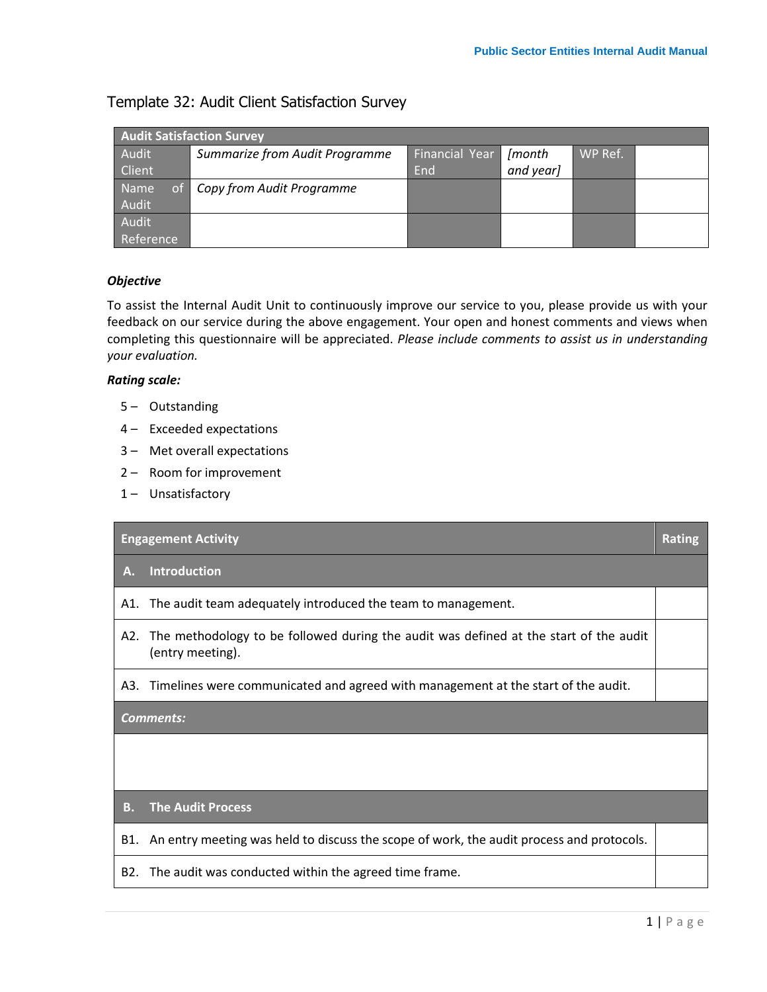## Template 32: Audit Client Satisfaction Survey

| <b>Audit Satisfaction Survey</b> |                                |                |           |         |  |  |  |  |
|----------------------------------|--------------------------------|----------------|-----------|---------|--|--|--|--|
| Audit                            | Summarize from Audit Programme | Financial Year | [month    | WP Ref. |  |  |  |  |
| <b>Client</b>                    |                                | End            | and year] |         |  |  |  |  |
| <b>Name</b>                      | of Copy from Audit Programme   |                |           |         |  |  |  |  |
| Audit                            |                                |                |           |         |  |  |  |  |
| Audit                            |                                |                |           |         |  |  |  |  |
| Reference                        |                                |                |           |         |  |  |  |  |

## *Objective*

To assist the Internal Audit Unit to continuously improve our service to you, please provide us with your feedback on our service during the above engagement. Your open and honest comments and views when completing this questionnaire will be appreciated. *Please include comments to assist us in understanding your evaluation.*

## *Rating scale:*

- 5 Outstanding
- 4 Exceeded expectations
- 3 Met overall expectations
- 2 Room for improvement
- 1- Unsatisfactory

| <b>Engagement Activity</b> |                                                                                                           |  |  |  |
|----------------------------|-----------------------------------------------------------------------------------------------------------|--|--|--|
| А.                         | <b>Introduction</b>                                                                                       |  |  |  |
| A1.                        | The audit team adequately introduced the team to management.                                              |  |  |  |
| A2.                        | The methodology to be followed during the audit was defined at the start of the audit<br>(entry meeting). |  |  |  |
| A3.                        | Timelines were communicated and agreed with management at the start of the audit.                         |  |  |  |
| <b>Comments:</b>           |                                                                                                           |  |  |  |
|                            |                                                                                                           |  |  |  |
|                            |                                                                                                           |  |  |  |
| В.                         | <b>The Audit Process</b>                                                                                  |  |  |  |
| B1.                        | An entry meeting was held to discuss the scope of work, the audit process and protocols.                  |  |  |  |
| B2.                        | The audit was conducted within the agreed time frame.                                                     |  |  |  |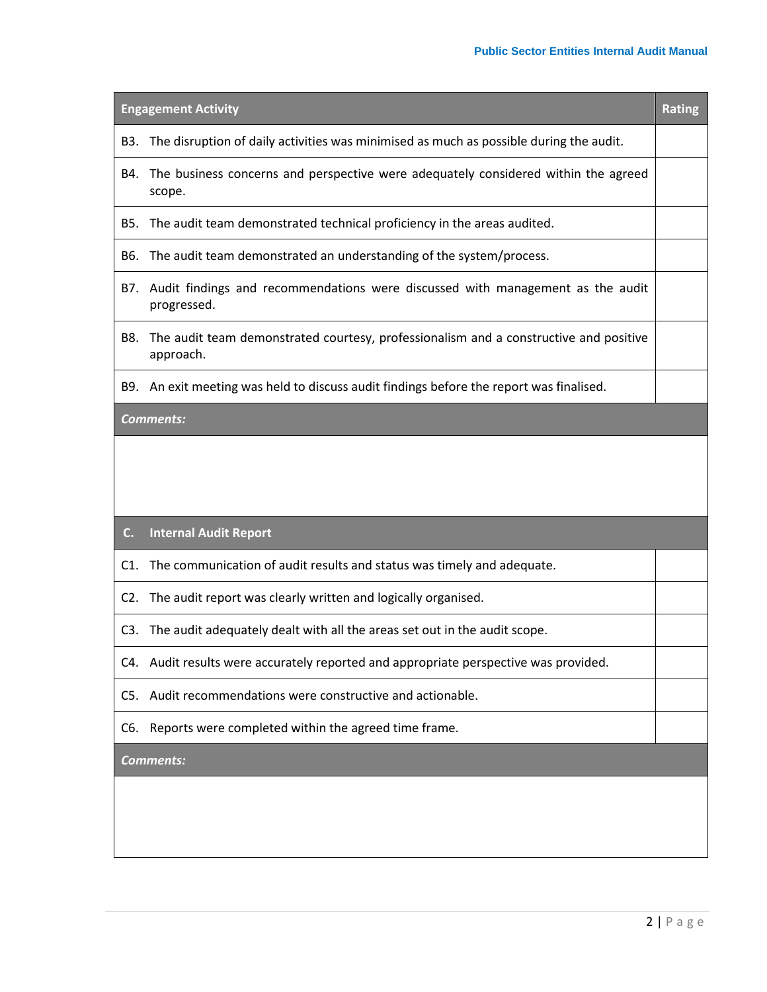| <b>Engagement Activity</b> |                                                                                                    |  |  |  |
|----------------------------|----------------------------------------------------------------------------------------------------|--|--|--|
| B3.                        | The disruption of daily activities was minimised as much as possible during the audit.             |  |  |  |
| B4.                        | The business concerns and perspective were adequately considered within the agreed<br>scope.       |  |  |  |
| B5.                        | The audit team demonstrated technical proficiency in the areas audited.                            |  |  |  |
| B6.                        | The audit team demonstrated an understanding of the system/process.                                |  |  |  |
|                            | B7. Audit findings and recommendations were discussed with management as the audit<br>progressed.  |  |  |  |
| B8.                        | The audit team demonstrated courtesy, professionalism and a constructive and positive<br>approach. |  |  |  |
| B9.                        | An exit meeting was held to discuss audit findings before the report was finalised.                |  |  |  |
|                            | <b>Comments:</b>                                                                                   |  |  |  |
|                            |                                                                                                    |  |  |  |
|                            |                                                                                                    |  |  |  |
| C.                         | <b>Internal Audit Report</b>                                                                       |  |  |  |
| C1.                        | The communication of audit results and status was timely and adequate.                             |  |  |  |
| C2.                        | The audit report was clearly written and logically organised.                                      |  |  |  |
|                            | C3. The audit adequately dealt with all the areas set out in the audit scope.                      |  |  |  |
|                            | C4. Audit results were accurately reported and appropriate perspective was provided.               |  |  |  |
|                            | C5. Audit recommendations were constructive and actionable.                                        |  |  |  |
|                            | C6. Reports were completed within the agreed time frame.                                           |  |  |  |
| <b>Comments:</b>           |                                                                                                    |  |  |  |
|                            |                                                                                                    |  |  |  |
|                            |                                                                                                    |  |  |  |
|                            |                                                                                                    |  |  |  |